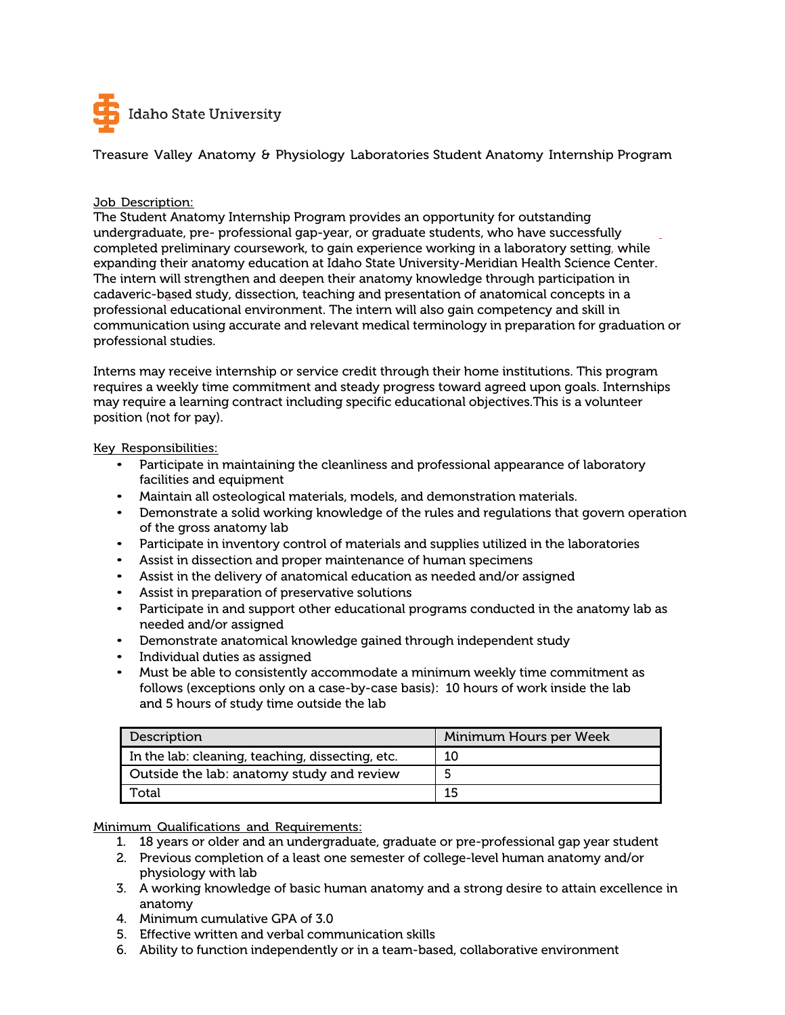

Treasure Valley Anatomy & Physiology Laboratories Student Anatomy Internship Program

## Job Description:

The Student Anatomy Internship Program provides an opportunity for outstanding undergraduate, pre- professional gap-year, or graduate students, who have successfully completed preliminary coursework, to gain experience working in a laboratory setting, while expanding their anatomy education at Idaho State University-Meridian Health Science Center. The intern will strengthen and deepen their anatomy knowledge through participation in cadaveric-based study, dissection, teaching and presentation of anatomical concepts in a professional educational environment. The intern will also gain competency and skill in communication using accurate and relevant medical terminology in preparation for graduation or professional studies.

Interns may receive internship or service credit through their home institutions. This program requires a weekly time commitment and steady progress toward agreed upon goals. Internships may require a learning contract including specific educational objectives.This is a volunteer position (not for pay).

Key Responsibilities:

- Participate in maintaining the cleanliness and professional appearance of laboratory facilities and equipment
- Maintain all osteological materials, models, and demonstration materials.
- Demonstrate a solid working knowledge of the rules and regulations that govern operation of the gross anatomy lab
- Participate in inventory control of materials and supplies utilized in the laboratories
- Assist in dissection and proper maintenance of human specimens
- Assist in the delivery of anatomical education as needed and/or assigned
- Assist in preparation of preservative solutions
- Participate in and support other educational programs conducted in the anatomy lab as needed and/or assigned
- Demonstrate anatomical knowledge gained through independent study
- Individual duties as assigned
- Must be able to consistently accommodate a minimum weekly time commitment as follows (exceptions only on a case-by-case basis): 10 hours of work inside the lab and 5 hours of study time outside the lab

| Description                                      | Minimum Hours per Week |
|--------------------------------------------------|------------------------|
| In the lab: cleaning, teaching, dissecting, etc. | 10                     |
| Outside the lab: anatomy study and review        |                        |
| Total                                            | 15                     |

Minimum Qualifications and Requirements:

- 1. 18 years or older and an undergraduate, graduate or pre-professional gap year student
- 2. Previous completion of a least one semester of college-level human anatomy and/or physiology with lab
- 3. A working knowledge of basic human anatomy and a strong desire to attain excellence in anatomy
- 4. Minimum cumulative GPA of 3.0
- 5. Effective written and verbal communication skills
- 6. Ability to function independently or in a team-based, collaborative environment